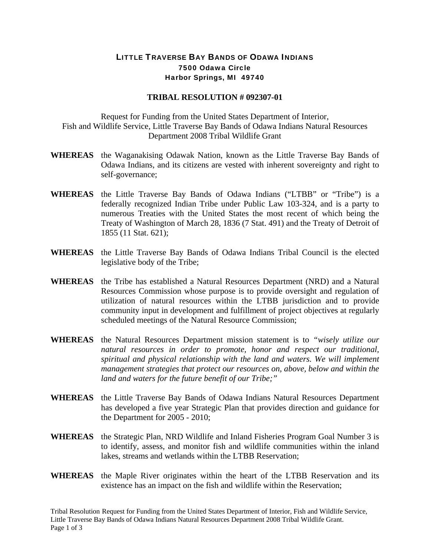## LITTLE TRAVERSE BAY BANDS OF ODAWA INDIANS 7500 Odawa Circle Harbor Springs, MI 49740

## **TRIBAL RESOLUTION # 092307-01**

Request for Funding from the United States Department of Interior, Fish and Wildlife Service, Little Traverse Bay Bands of Odawa Indians Natural Resources Department 2008 Tribal Wildlife Grant

- **WHEREAS** the Waganakising Odawak Nation, known as the Little Traverse Bay Bands of Odawa Indians, and its citizens are vested with inherent sovereignty and right to self-governance;
- **WHEREAS** the Little Traverse Bay Bands of Odawa Indians ("LTBB" or "Tribe") is a federally recognized Indian Tribe under Public Law 103-324, and is a party to numerous Treaties with the United States the most recent of which being the Treaty of Washington of March 28, 1836 (7 Stat. 491) and the Treaty of Detroit of 1855 (11 Stat. 621);
- **WHEREAS** the Little Traverse Bay Bands of Odawa Indians Tribal Council is the elected legislative body of the Tribe;
- **WHEREAS** the Tribe has established a Natural Resources Department (NRD) and a Natural Resources Commission whose purpose is to provide oversight and regulation of utilization of natural resources within the LTBB jurisdiction and to provide community input in development and fulfillment of project objectives at regularly scheduled meetings of the Natural Resource Commission;
- **WHEREAS** the Natural Resources Department mission statement is to *"wisely utilize our natural resources in order to promote, honor and respect our traditional, spiritual and physical relationship with the land and waters. We will implement management strategies that protect our resources on, above, below and within the land and waters for the future benefit of our Tribe;"*
- **WHEREAS** the Little Traverse Bay Bands of Odawa Indians Natural Resources Department has developed a five year Strategic Plan that provides direction and guidance for the Department for 2005 - 2010;
- **WHEREAS** the Strategic Plan, NRD Wildlife and Inland Fisheries Program Goal Number 3 is to identify, assess, and monitor fish and wildlife communities within the inland lakes, streams and wetlands within the LTBB Reservation;
- **WHEREAS** the Maple River originates within the heart of the LTBB Reservation and its existence has an impact on the fish and wildlife within the Reservation;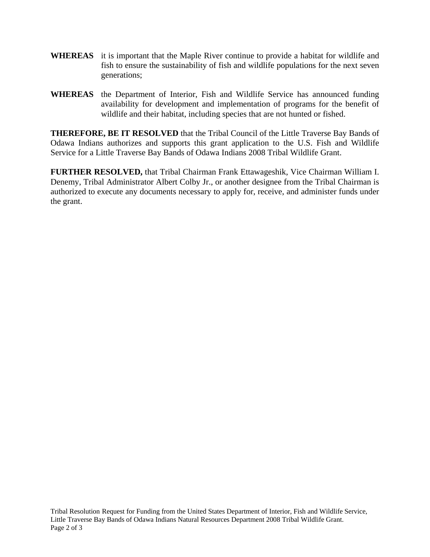- **WHEREAS** it is important that the Maple River continue to provide a habitat for wildlife and fish to ensure the sustainability of fish and wildlife populations for the next seven generations;
- **WHEREAS** the Department of Interior, Fish and Wildlife Service has announced funding availability for development and implementation of programs for the benefit of wildlife and their habitat, including species that are not hunted or fished.

**THEREFORE, BE IT RESOLVED** that the Tribal Council of the Little Traverse Bay Bands of Odawa Indians authorizes and supports this grant application to the U.S. Fish and Wildlife Service for a Little Traverse Bay Bands of Odawa Indians 2008 Tribal Wildlife Grant.

**FURTHER RESOLVED,** that Tribal Chairman Frank Ettawageshik, Vice Chairman William I. Denemy, Tribal Administrator Albert Colby Jr., or another designee from the Tribal Chairman is authorized to execute any documents necessary to apply for, receive, and administer funds under the grant.